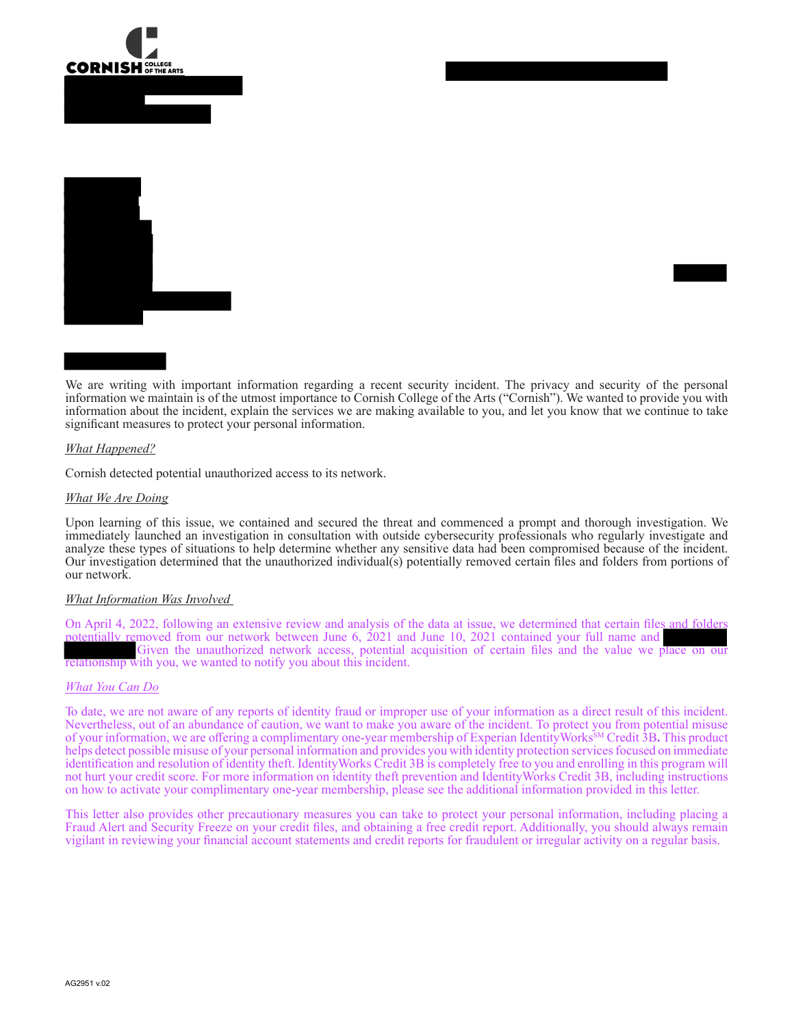



We are writing with important information regarding a recent security incident. The privacy and security of the personal information we maintain is of the utmost importance to Cornish College of the Arts ("Cornish"). We wanted to provide you with information about the incident, explain the services we are making available to you, and let you know that we continue to take significant measures to protect your personal information.

#### *What Happened?*

Cornish detected potential unauthorized access to its network.

#### *What We Are Doing*

Upon learning of this issue, we contained and secured the threat and commenced a prompt and thorough investigation. We immediately launched an investigation in consultation with outside cybersecurity professionals who regularly investigate and analyze these types of situations to help determine whether any sensitive data had been compromised because of the incident. Our investigation determined that the unauthorized individual(s) potentially removed certain files and folders from portions of our network.

#### *What Information Was Involved*

On April 4, 2022, following an extensive review and analysis of the data at issue, we determined that certain files and folders potentially removed from our network between June 6, 2021 and June 10, 2021 contained your full name and Given the unauthorized network access, potential acquisition of certain files and the value we place on our relationship with you, we wanted to notify you about this incident.

#### *What You Can Do*

To date, we are not aware of any reports of identity fraud or improper use of your information as a direct result of this incident. Nevertheless, out of an abundance of caution, we want to make you aware of the incident. To protect you from potential misuse of your information, we are offering a complimentary one-year membership of Experian IdentityWorks<sup>SM</sup> Credit 3B. This product helps detect possible misuse of your personal information and provides you with identity protection services focused on immediate identification and resolution of identity theft. IdentityWorks Credit 3B is completely free to you and enrolling in this program will not hurt your credit score. For more information on identity theft prevention and IdentityWorks Credit 3B, including instructions on how to activate your complimentary one-year membership, please see the additional information provided in this letter.

This letter also provides other precautionary measures you can take to protect your personal information, including placing a Fraud Alert and Security Freeze on your credit files, and obtaining a free credit report. Additionally, you should always remain vigilant in reviewing your financial account statements and credit reports for fraudulent or irregular activity on a regular basis.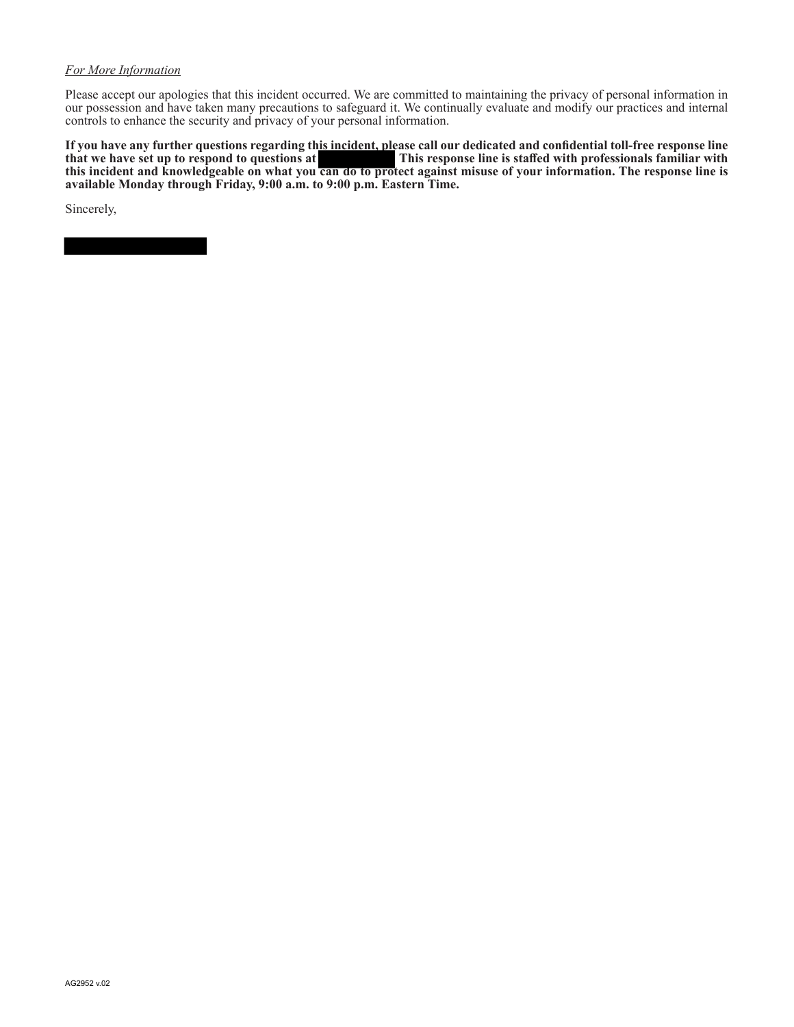## *For More Information*

Please accept our apologies that this incident occurred. We are committed to maintaining the privacy of personal information in our possession and have taken many precautions to safeguard it. We continually evaluate and modify our practices and internal controls to enhance the security and privacy of your personal information.

**If you have any further questions regarding this incident, please call our dedicated and confidential toll-free response line that we have set up to respond to questions at This response line is staffed with professionals familiar with this incident and knowledgeable on what you can do to protect against misuse of your information. The response line is available Monday through Friday, 9:00 a.m. to 9:00 p.m. Eastern Time.** 

Sincerely,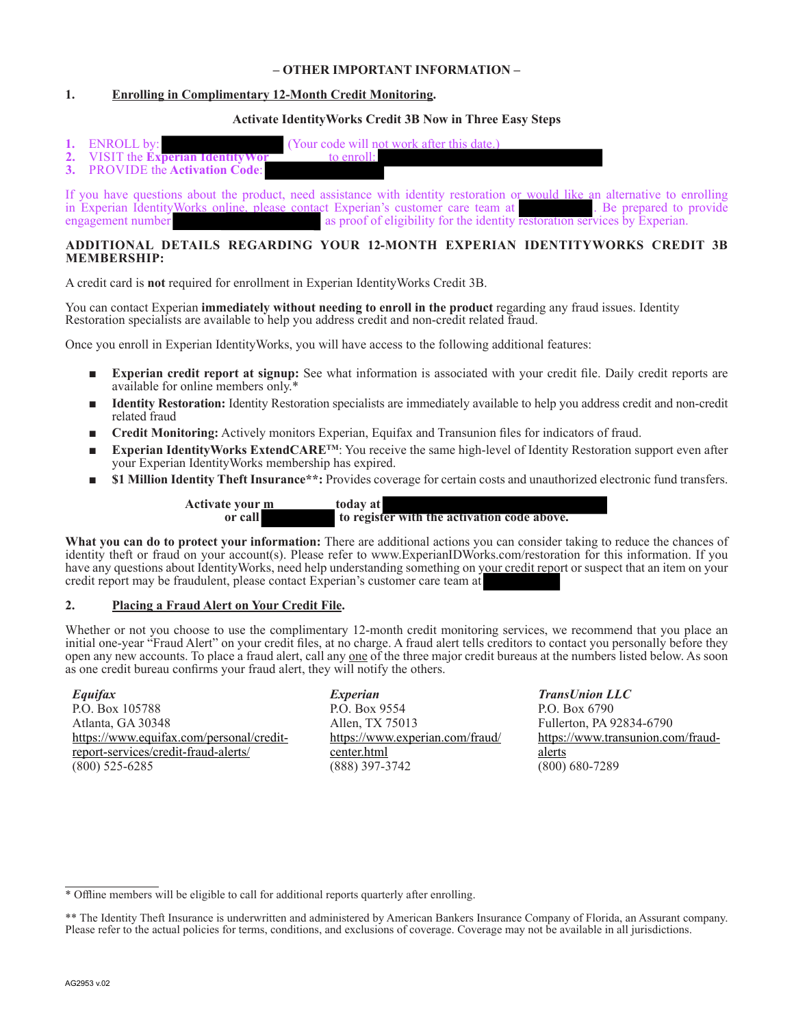## **– OTHER IMPORTANT INFORMATION –**

# **1. Enrolling in Complimentary 12-Month Credit Monitoring.**

## **Activate IdentityWorks Credit 3B Now in Three Easy Steps**

- **1.** ENROLL by: (Your code will not work after this date.)<br> **2.** VISIT the **Experient Identity Wor** to enroll:
- **2.** VISIT the **Experian Identity World**<br>**3.** PROVIDE the **Activation Code**
- **3.** PROVIDE the **Activation Code**:

If you have questions about the product, need assistance with identity restoration or would like an alternative to enrolling in Experian IdentityWorks online, please contact Experian's customer care team at . Be prepared t in Experian IdentityWorks online, please contact Experian's customer care team at engagement number as proof of eligibility for the identity restoration services by Experian.

# **ADDITIONAL DETAILS REGARDING YOUR 12-MONTH EXPERIAN IDENTITYWORKS CREDIT 3B MEMBERSHIP:**

A credit card is **not** required for enrollment in Experian IdentityWorks Credit 3B.

You can contact Experian **immediately without needing to enroll in the product** regarding any fraud issues. Identity Restoration specialists are available to help you address credit and non-credit related fraud.

Once you enroll in Experian IdentityWorks, you will have access to the following additional features:

- **Experian credit report at signup:** See what information is associated with your credit file. Daily credit reports are available for online members only.\*
- **Identity Restoration:** Identity Restoration specialists are immediately available to help you address credit and non-credit related fraud
- **Credit Monitoring:** Actively monitors Experian, Equifax and Transunion files for indicators of fraud.
- Experian IdentityWorks ExtendCARE<sup>TM</sup>: You receive the same high-level of Identity Restoration support even after your Experian IdentityWorks membership has expired.
- \$1 Million Identity Theft Insurance\*\*: Provides coverage for certain costs and unauthorized electronic fund transfers.

Activate your <u>m today</u> at<br>or call to regist to register with the activation code above.

**What you can do to protect your information:** There are additional actions you can consider taking to reduce the chances of identity theft or fraud on your account(s). Please refer to www.ExperianIDWorks.com/restoration for this information. If you have any questions about IdentityWorks, need help understanding something on your credit report or suspect that an item on your credit report may be fraudulent, please contact Experian's customer care team at \*

# **2. Placing a Fraud Alert on Your Credit File.**

Whether or not you choose to use the complimentary 12-month credit monitoring services, we recommend that you place an initial one-year "Fraud Alert" on your credit files, at no charge. A fraud alert tells creditors to contact you personally before they open any new accounts. To place a fraud alert, call any <u>one</u> of the three major credit bureaus at the numbers listed below. As soon as one credit bureau confirms your fraud alert, they will notify the others.

*Equifax* P.O. Box 105788 Atlanta, GA 30348 https://www.equifax.com/personal/creditreport-services/credit-fraud-alerts/ (800) 525-6285

*Experian*  P.O. Box 9554 Allen, TX 75013 https://www.experian.com/fraud/ center.html (888) 397-3742

*TransUnion LLC* P.O. Box 6790 Fullerton, PA 92834-6790 https://www.transunion.com/fraudalerts (800) 680-7289

<sup>\*</sup> Offline members will be eligible to call for additional reports quarterly after enrolling.

<sup>\*\*</sup> The Identity Theft Insurance is underwritten and administered by American Bankers Insurance Company of Florida, an Assurant company. Please refer to the actual policies for terms, conditions, and exclusions of coverage. Coverage may not be available in all jurisdictions.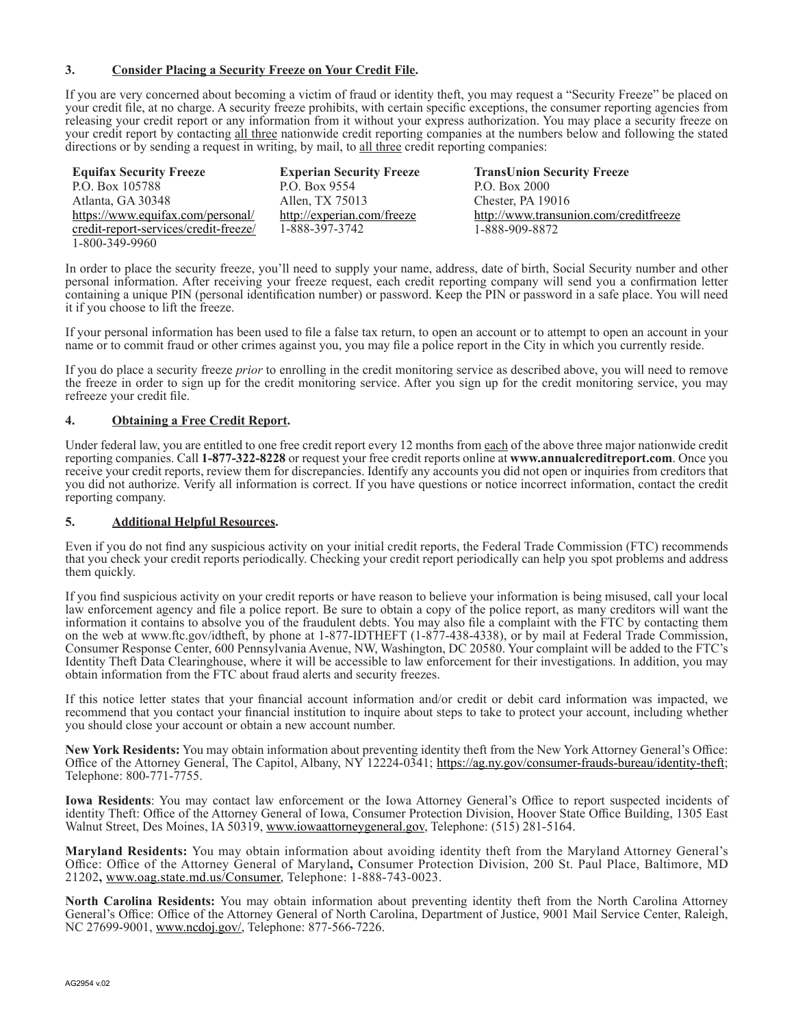## **3. Consider Placing a Security Freeze on Your Credit File.**

If you are very concerned about becoming a victim of fraud or identity theft, you may request a "Security Freeze" be placed on your credit file, at no charge. A security freeze prohibits, with certain specific exceptions, the consumer reporting agencies from releasing your credit report or any information from it without your express authorization. You may place a security freeze on your credit report by contacting all three nationwide credit reporting companies at the numbers below and following the stated directions or by sending a request in writing, by mail, to all three credit reporting companies:

| <b>Equifax Security Freeze</b>        | <b>Experian Security Freeze</b> | <b>TransUnion Security Freeze</b>      |
|---------------------------------------|---------------------------------|----------------------------------------|
| P.O. Box 105788                       | P.O. Box 9554                   | P.O. Box 2000                          |
| Atlanta, GA 30348                     | Allen, TX 75013                 | Chester, PA 19016                      |
| https://www.equifax.com/personal/     | http://experian.com/freeze      | http://www.transunion.com/creditfreeze |
| credit-report-services/credit-freeze/ | 1-888-397-3742                  | 1-888-909-8872                         |
| 1-800-349-9960                        |                                 |                                        |

In order to place the security freeze, you'll need to supply your name, address, date of birth, Social Security number and other personal information. After receiving your freeze request, each credit reporting company will send you a confirmation letter containing a unique PIN (personal identification number) or password. Keep the PIN or password in a safe place. You will need it if you choose to lift the freeze.

If your personal information has been used to file a false tax return, to open an account or to attempt to open an account in your name or to commit fraud or other crimes against you, you may file a police report in the City in which you currently reside.

If you do place a security freeze *prior* to enrolling in the credit monitoring service as described above, you will need to remove the freeze in order to sign up for the credit monitoring service. After you sign up for the credit monitoring service, you may refreeze your credit file.

## **4. Obtaining a Free Credit Report.**

Under federal law, you are entitled to one free credit report every 12 months from each of the above three major nationwide credit reporting companies. Call **1-877-322-8228** or request your free credit reports online at **www.annualcreditreport.com**. Once you receive your credit reports, review them for discrepancies. Identify any accounts you did not open or inquiries from creditors that you did not authorize. Verify all information is correct. If you have questions or notice incorrect information, contact the credit reporting company.

#### **5. Additional Helpful Resources.**

Even if you do not find any suspicious activity on your initial credit reports, the Federal Trade Commission (FTC) recommends that you check your credit reports periodically. Checking your credit report periodically can help you spot problems and address them quickly.

If you find suspicious activity on your credit reports or have reason to believe your information is being misused, call your local law enforcement agency and file a police report. Be sure to obtain a copy of the police report, as many creditors will want the information it contains to absolve you of the fraudulent debts. You may also file a complaint with the FTC by contacting them on the web at www.ftc.gov/idtheft, by phone at 1-877-IDTHEFT (1-877-438-4338), or by mail at Federal Trade Commission, Consumer Response Center, 600 Pennsylvania Avenue, NW, Washington, DC 20580. Your complaint will be added to the FTC's Identity Theft Data Clearinghouse, where it will be accessible to law enforcement for their investigations. In addition, you may obtain information from the FTC about fraud alerts and security freezes.

If this notice letter states that your financial account information and/or credit or debit card information was impacted, we recommend that you contact your financial institution to inquire about steps to take to protect your account, including whether you should close your account or obtain a new account number.

**New York Residents:** You may obtain information about preventing identity theft from the New York Attorney General's Office: Office of the Attorney General, The Capitol, Albany, NY 12224-0341; https://ag.ny.gov/consumer-frauds-bureau/identity-theft; Telephone: 800-771-7755.

**Iowa Residents**: You may contact law enforcement or the Iowa Attorney General's Office to report suspected incidents of identity Theft: Office of the Attorney General of Iowa, Consumer Protection Division, Hoover State Office Building, 1305 East Walnut Street, Des Moines, IA 50319, www.iowaattorneygeneral.gov, Telephone: (515) 281-5164.

**Maryland Residents:** You may obtain information about avoiding identity theft from the Maryland Attorney General's Office: Office of the Attorney General of Maryland**,** Consumer Protection Division, 200 St. Paul Place, Baltimore, MD 21202**,** www.oag.state.md.us/Consumer, Telephone: 1-888-743-0023.

**North Carolina Residents:** You may obtain information about preventing identity theft from the North Carolina Attorney General's Office: Office of the Attorney General of North Carolina, Department of Justice, 9001 Mail Service Center, Raleigh, NC 27699-9001, www.ncdoj.gov/, Telephone: 877-566-7226.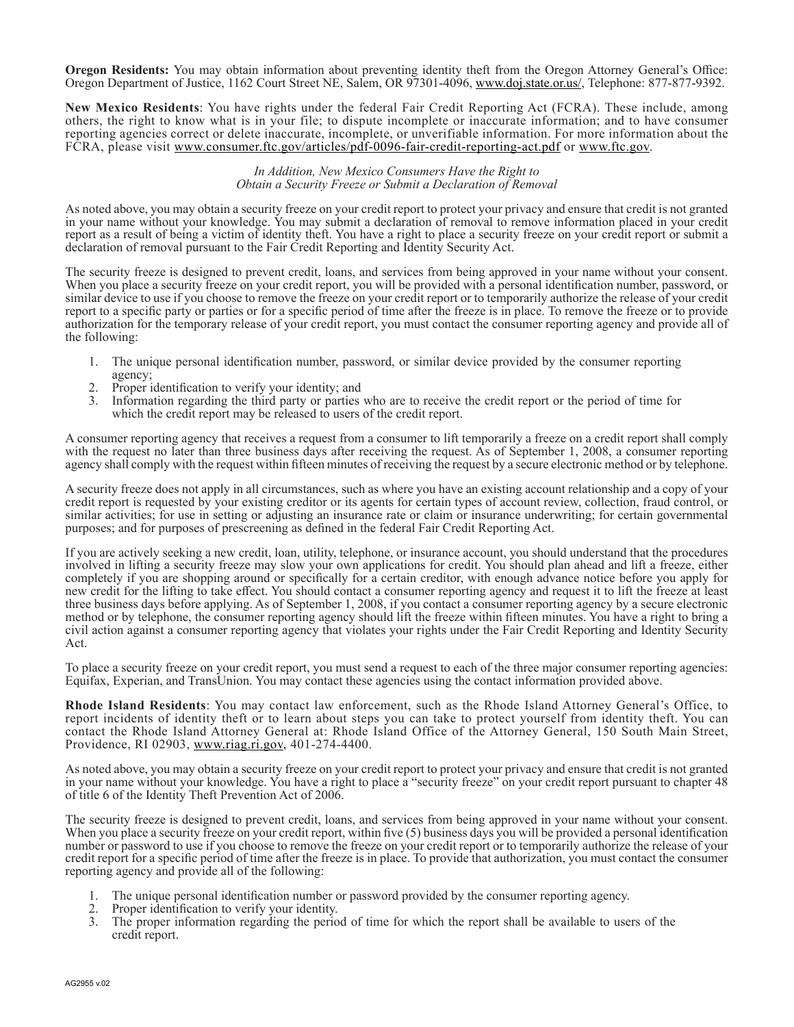**Oregon Residents:** You may obtain information about preventing identity theft from the Oregon Attorney General's Office: Oregon Department of Justice, 1162 Court Street NE, Salem, OR 97301-4096, www.doj.state.or.us/, Telephone: 877-877-9392.

**New Mexico Residents**: You have rights under the federal Fair Credit Reporting Act (FCRA). These include, among others, the right to know what is in your file; to dispute incomplete or inaccurate information; and to have consumer reporting agencies correct or delete inaccurate, incomplete, or unverifiable information. For more information about the FCRA, please visit www.consumer.ftc.gov/articles/pdf-0096-fair-credit-reporting-act.pdf or www.ftc.gov.

#### *In Addition, New Mexico Consumers Have the Right to Obtain a Security Freeze or Submit a Declaration of Removal*

As noted above, you may obtain a security freeze on your credit report to protect your privacy and ensure that credit is not granted in your name without your knowledge. You may submit a declaration of removal to remove information placed in your credit report as a result of being a victim of identity theft. You have a right to place a security freeze on your credit report or submit a declaration of removal pursuant to the Fair Credit Reporting and Identity Security Act.

The security freeze is designed to prevent credit, loans, and services from being approved in your name without your consent. When you place a security freeze on your credit report, you will be provided with a personal identification number, password, or similar device to use if you choose to remove the freeze on your credit report or to temporarily authorize the release of your credit report to a specific party or parties or for a specific period of time after the freeze is in place. To remove the freeze or to provide authorization for the temporary release of your credit report, you must contact the consumer reporting agency and provide all of the following:

- 1. The unique personal identification number, password, or similar device provided by the consumer reporting agency;
- 2. Proper identification to verify your identity; and
- Information regarding the third party or parties who are to receive the credit report or the period of time for which the credit report may be released to users of the credit report.

A consumer reporting agency that receives a request from a consumer to lift temporarily a freeze on a credit report shall comply with the request no later than three business days after receiving the request. As of September 1, 2008, a consumer reporting agency shall comply with the request within fifteen minutes of receiving the request by a secure electronic method or by telephone.

A security freeze does not apply in all circumstances, such as where you have an existing account relationship and a copy of your credit report is requested by your existing creditor or its agents for certain types of account review, collection, fraud control, or similar activities; for use in setting or adjusting an insurance rate or claim or insurance underwriting; for certain governmental purposes; and for purposes of prescreening as defined in the federal Fair Credit Reporting Act.

If you are actively seeking a new credit, loan, utility, telephone, or insurance account, you should understand that the procedures involved in lifting a security freeze may slow your own applications for credit. You should plan ahead and lift a freeze, either completely if you are shopping around or specifically for a certain creditor, with enough advance notice before you apply for new credit for the lifting to take effect. You should contact a consumer reporting agency and request it to lift the freeze at least three business days before applying. As of September 1, 2008, if you contact a consumer reporting agency by a secure electronic method or by telephone, the consumer reporting agency should lift the freeze within fifteen minutes. You have a right to bring a civil action against a consumer reporting agency that violates your rights under the Fair Credit Reporting and Identity Security Act.

To place a security freeze on your credit report, you must send a request to each of the three major consumer reporting agencies: Equifax, Experian, and TransUnion. You may contact these agencies using the contact information provided above.

**Rhode Island Residents**: You may contact law enforcement, such as the Rhode Island Attorney General's Office, to report incidents of identity theft or to learn about steps you can take to protect yourself from identity theft. You can contact the Rhode Island Attorney General at: Rhode Island Office of the Attorney General, 150 South Main Street, Providence, RI 02903, www.riag.ri.gov, 401-274-4400.

As noted above, you may obtain a security freeze on your credit report to protect your privacy and ensure that credit is not granted in your name without your knowledge. You have a right to place a "security freeze" on your credit report pursuant to chapter 48 of title 6 of the Identity Theft Prevention Act of 2006.

The security freeze is designed to prevent credit, loans, and services from being approved in your name without your consent. When you place a security freeze on your credit report, within five (5) business days you will be provided a personal identification number or password to use if you choose to remove the freeze on your credit report or to temporarily authorize the release of your credit report for a specific period of time after the freeze is in place. To provide that authorization, you must contact the consumer reporting agency and provide all of the following:

- 1. The unique personal identification number or password provided by the consumer reporting agency.
- 2. Proper identification to verify your identity.
- 3. The proper information regarding the period of time for which the report shall be available to users of the credit report.